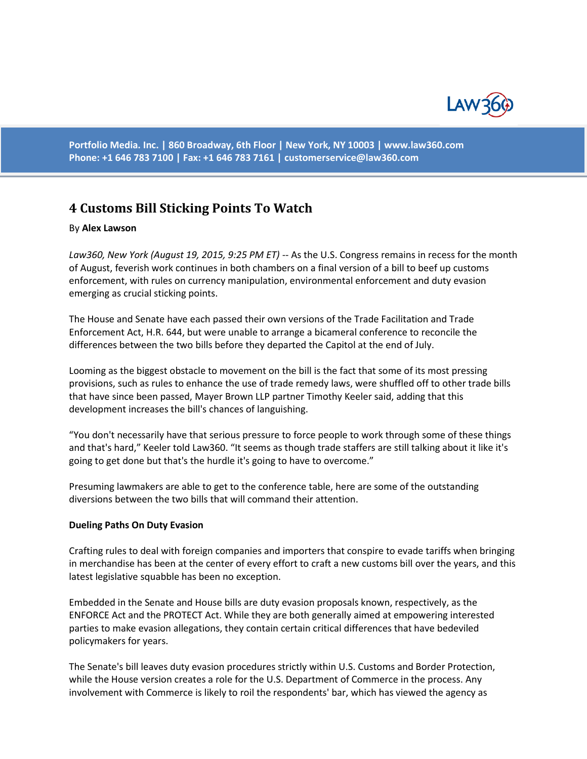

**Portfolio Media. Inc. | 860 Broadway, 6th Floor | New York, NY 10003 | www.law360.com Phone: +1 646 783 7100 | Fax: +1 646 783 7161 | [customerservice@law360.com](mailto:customerservice@law360.com)**

# **4 Customs Bill Sticking Points To Watch**

## By **Alex Lawson**

*Law360, New York (August 19, 2015, 9:25 PM ET)* -- As the U.S. Congress remains in recess for the month of August, feverish work continues in both chambers on a final version of a bill to beef up customs enforcement, with rules on currency manipulation, environmental enforcement and duty evasion emerging as crucial sticking points.

The House and Senate have each passed their own versions of the Trade Facilitation and Trade Enforcement Act, H.R. 644, but were unable to arrange a bicameral conference to reconcile the differences between the two bills before they departed the Capitol at the end of July.

Looming as the biggest obstacle to movement on the bill is the fact that some of its most pressing provisions, such as rules to enhance the use of trade remedy laws, were shuffled off to other trade bills that have since been passed, Mayer Brown LLP partner Timothy Keeler said, adding that this development increases the bill's chances of languishing.

"You don't necessarily have that serious pressure to force people to work through some of these things and that's hard," Keeler told Law360. "It seems as though trade staffers are still talking about it like it's going to get done but that's the hurdle it's going to have to overcome."

Presuming lawmakers are able to get to the conference table, here are some of the outstanding diversions between the two bills that will command their attention.

#### **Dueling Paths On Duty Evasion**

Crafting rules to deal with foreign companies and importers that conspire to evade tariffs when bringing in merchandise has been at the center of every effort to craft a new customs bill over the years, and this latest legislative squabble has been no exception.

Embedded in the Senate and House bills are duty evasion proposals known, respectively, as the ENFORCE Act and the PROTECT Act. While they are both generally aimed at empowering interested parties to make evasion allegations, they contain certain critical differences that have bedeviled policymakers for years.

The Senate's bill leaves duty evasion procedures strictly within U.S. Customs and Border Protection, while the House version creates a role for the U.S. Department of Commerce in the process. Any involvement with Commerce is likely to roil the respondents' bar, which has viewed the agency as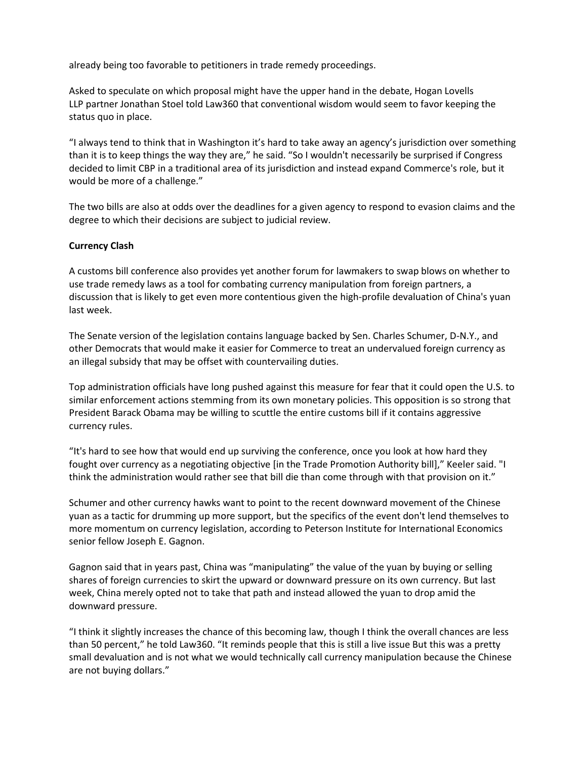already being too favorable to petitioners in trade remedy proceedings.

Asked to speculate on which proposal might have the upper hand in the debate, Hogan Lovells LLP partner Jonathan Stoel told Law360 that conventional wisdom would seem to favor keeping the status quo in place.

"I always tend to think that in Washington it's hard to take away an agency's jurisdiction over something than it is to keep things the way they are," he said. "So I wouldn't necessarily be surprised if Congress decided to limit CBP in a traditional area of its jurisdiction and instead expand Commerce's role, but it would be more of a challenge."

The two bills are also at odds over the deadlines for a given agency to respond to evasion claims and the degree to which their decisions are subject to judicial review.

# **Currency Clash**

A customs bill conference also provides yet another forum for lawmakers to swap blows on whether to use trade remedy laws as a tool for combating currency manipulation from foreign partners, a discussion that is likely to get even more contentious given the high-profile devaluation of China's yuan last week.

The Senate version of the legislation contains language backed by Sen. Charles Schumer, D-N.Y., and other Democrats that would make it easier for Commerce to treat an undervalued foreign currency as an illegal subsidy that may be offset with countervailing duties.

Top administration officials have long pushed against this measure for fear that it could open the U.S. to similar enforcement actions stemming from its own monetary policies. This opposition is so strong that President Barack Obama may be willing to scuttle the entire customs bill if it contains aggressive currency rules.

"It's hard to see how that would end up surviving the conference, once you look at how hard they fought over currency as a negotiating objective [in the Trade Promotion Authority bill]," Keeler said. "I think the administration would rather see that bill die than come through with that provision on it."

Schumer and other currency hawks want to point to the recent downward movement of the Chinese yuan as a tactic for drumming up more support, but the specifics of the event don't lend themselves to more momentum on currency legislation, according to Peterson Institute for International Economics senior fellow Joseph E. Gagnon.

Gagnon said that in years past, China was "manipulating" the value of the yuan by buying or selling shares of foreign currencies to skirt the upward or downward pressure on its own currency. But last week, China merely opted not to take that path and instead allowed the yuan to drop amid the downward pressure.

"I think it slightly increases the chance of this becoming law, though I think the overall chances are less than 50 percent," he told Law360. "It reminds people that this is still a live issue But this was a pretty small devaluation and is not what we would technically call currency manipulation because the Chinese are not buying dollars."